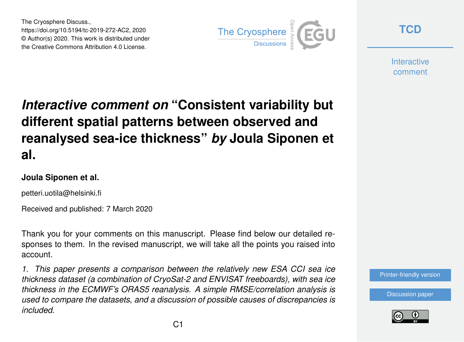The Cryosphere Discuss., https://doi.org/10.5194/tc-2019-272-AC2, 2020 © Author(s) 2020. This work is distributed under the Creative Commons Attribution 4.0 License.



**[TCD](https://www.the-cryosphere-discuss.net/)**

**Interactive** comment

# *Interactive comment on* **"Consistent variability but different spatial patterns between observed and reanalysed sea-ice thickness"** *by* **Joula Siponen et al.**

#### **Joula Siponen et al.**

petteri.uotila@helsinki.fi

Received and published: 7 March 2020

Thank you for your comments on this manuscript. Please find below our detailed responses to them. In the revised manuscript, we will take all the points you raised into account.

*1. This paper presents a comparison between the relatively new ESA CCI sea ice thickness dataset (a combination of CryoSat-2 and ENVISAT freeboards), with sea ice thickness in the ECMWF's ORAS5 reanalysis. A simple RMSE/correlation analysis is used to compare the datasets, and a discussion of possible causes of discrepancies is included.*

[Printer-friendly version](https://www.the-cryosphere-discuss.net/tc-2019-272/tc-2019-272-AC2-print.pdf)

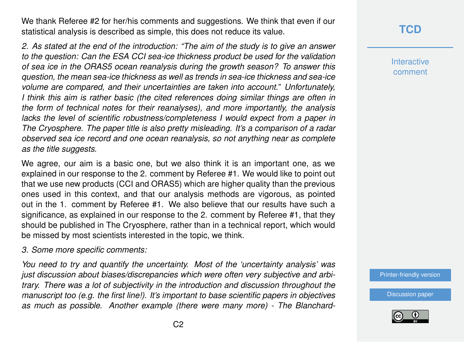We thank Referee #2 for her/his comments and suggestions. We think that even if our statistical analysis is described as simple, this does not reduce its value.

*2. As stated at the end of the introduction: "The aim of the study is to give an answer to the question: Can the ESA CCI sea-ice thickness product be used for the validation of sea ice in the ORAS5 ocean reanalysis during the growth season? To answer this question, the mean sea-ice thickness as well as trends in sea-ice thickness and sea-ice volume are compared, and their uncertainties are taken into account." Unfortunately, I think this aim is rather basic (the cited references doing similar things are often in the form of technical notes for their reanalyses), and more importantly, the analysis lacks the level of scientific robustness/completeness I would expect from a paper in The Cryosphere. The paper title is also pretty misleading. It's a comparison of a radar observed sea ice record and one ocean reanalysis, so not anything near as complete as the title suggests.*

We agree, our aim is a basic one, but we also think it is an important one, as we explained in our response to the 2. comment by Referee #1. We would like to point out that we use new products (CCI and ORAS5) which are higher quality than the previous ones used in this context, and that our analysis methods are vigorous, as pointed out in the 1. comment by Referee #1. We also believe that our results have such a significance, as explained in our response to the 2. comment by Referee #1, that they should be published in The Cryosphere, rather than in a technical report, which would be missed by most scientists interested in the topic, we think.

*3. Some more specific comments:*

*You need to try and quantify the uncertainty. Most of the 'uncertainty analysis' was just discussion about biases/discrepancies which were often very subjective and arbitrary. There was a lot of subjectivity in the introduction and discussion throughout the manuscript too (e.g. the first line!). It's important to base scientific papers in objectives as much as possible. Another example (there were many more) - The Blanchard-*

## **[TCD](https://www.the-cryosphere-discuss.net/)**

**Interactive** comment

[Printer-friendly version](https://www.the-cryosphere-discuss.net/tc-2019-272/tc-2019-272-AC2-print.pdf)

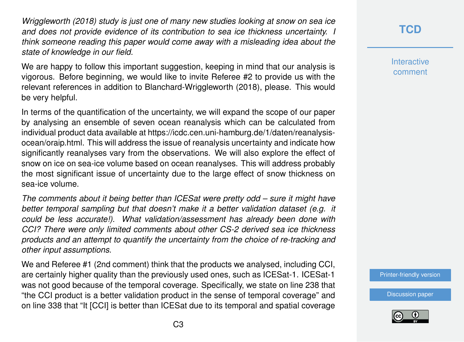*Wriggleworth (2018) study is just one of many new studies looking at snow on sea ice and does not provide evidence of its contribution to sea ice thickness uncertainty. I think someone reading this paper would come away with a misleading idea about the state of knowledge in our field.*

We are happy to follow this important suggestion, keeping in mind that our analysis is vigorous. Before beginning, we would like to invite Referee #2 to provide us with the relevant references in addition to Blanchard-Wriggleworth (2018), please. This would be very helpful.

In terms of the quantification of the uncertainty, we will expand the scope of our paper by analysing an ensemble of seven ocean reanalysis which can be calculated from individual product data available at https://icdc.cen.uni-hamburg.de/1/daten/reanalysisocean/oraip.html. This will address the issue of reanalysis uncertainty and indicate how significantly reanalyses vary from the observations. We will also explore the effect of snow on ice on sea-ice volume based on ocean reanalyses. This will address probably the most significant issue of uncertainty due to the large effect of snow thickness on sea-ice volume.

*The comments about it being better than ICESat were pretty odd – sure it might have better temporal sampling but that doesn't make it a better validation dataset (e.g. it could be less accurate!). What validation/assessment has already been done with CCI? There were only limited comments about other CS-2 derived sea ice thickness products and an attempt to quantify the uncertainty from the choice of re-tracking and other input assumptions.*

We and Referee #1 (2nd comment) think that the products we analysed, including CCI, are certainly higher quality than the previously used ones, such as ICESat-1. ICESat-1 was not good because of the temporal coverage. Specifically, we state on line 238 that "the CCI product is a better validation product in the sense of temporal coverage" and on line 338 that "It [CCI] is better than ICESat due to its temporal and spatial coverage

## **[TCD](https://www.the-cryosphere-discuss.net/)**

**Interactive** comment

[Printer-friendly version](https://www.the-cryosphere-discuss.net/tc-2019-272/tc-2019-272-AC2-print.pdf)

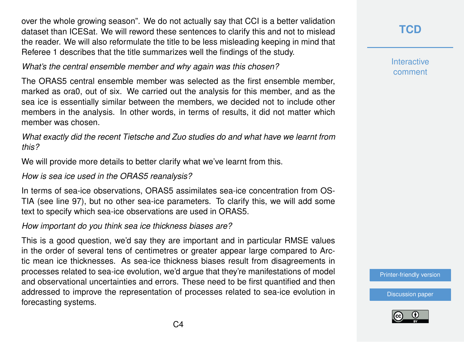over the whole growing season". We do not actually say that CCI is a better validation dataset than ICESat. We will reword these sentences to clarify this and not to mislead the reader. We will also reformulate the title to be less misleading keeping in mind that Referee 1 describes that the title summarizes well the findings of the study.

*What's the central ensemble member and why again was this chosen?*

The ORAS5 central ensemble member was selected as the first ensemble member, marked as ora0, out of six. We carried out the analysis for this member, and as the sea ice is essentially similar between the members, we decided not to include other members in the analysis. In other words, in terms of results, it did not matter which member was chosen.

*What exactly did the recent Tietsche and Zuo studies do and what have we learnt from this?*

We will provide more details to better clarify what we've learnt from this.

#### *How is sea ice used in the ORAS5 reanalysis?*

In terms of sea-ice observations, ORAS5 assimilates sea-ice concentration from OS-TIA (see line 97), but no other sea-ice parameters. To clarify this, we will add some text to specify which sea-ice observations are used in ORAS5.

*How important do you think sea ice thickness biases are?*

This is a good question, we'd say they are important and in particular RMSE values in the order of several tens of centimetres or greater appear large compared to Arctic mean ice thicknesses. As sea-ice thickness biases result from disagreements in processes related to sea-ice evolution, we'd argue that they're manifestations of model and observational uncertainties and errors. These need to be first quantified and then addressed to improve the representation of processes related to sea-ice evolution in forecasting systems.

**[TCD](https://www.the-cryosphere-discuss.net/)**

**Interactive** comment

[Printer-friendly version](https://www.the-cryosphere-discuss.net/tc-2019-272/tc-2019-272-AC2-print.pdf)